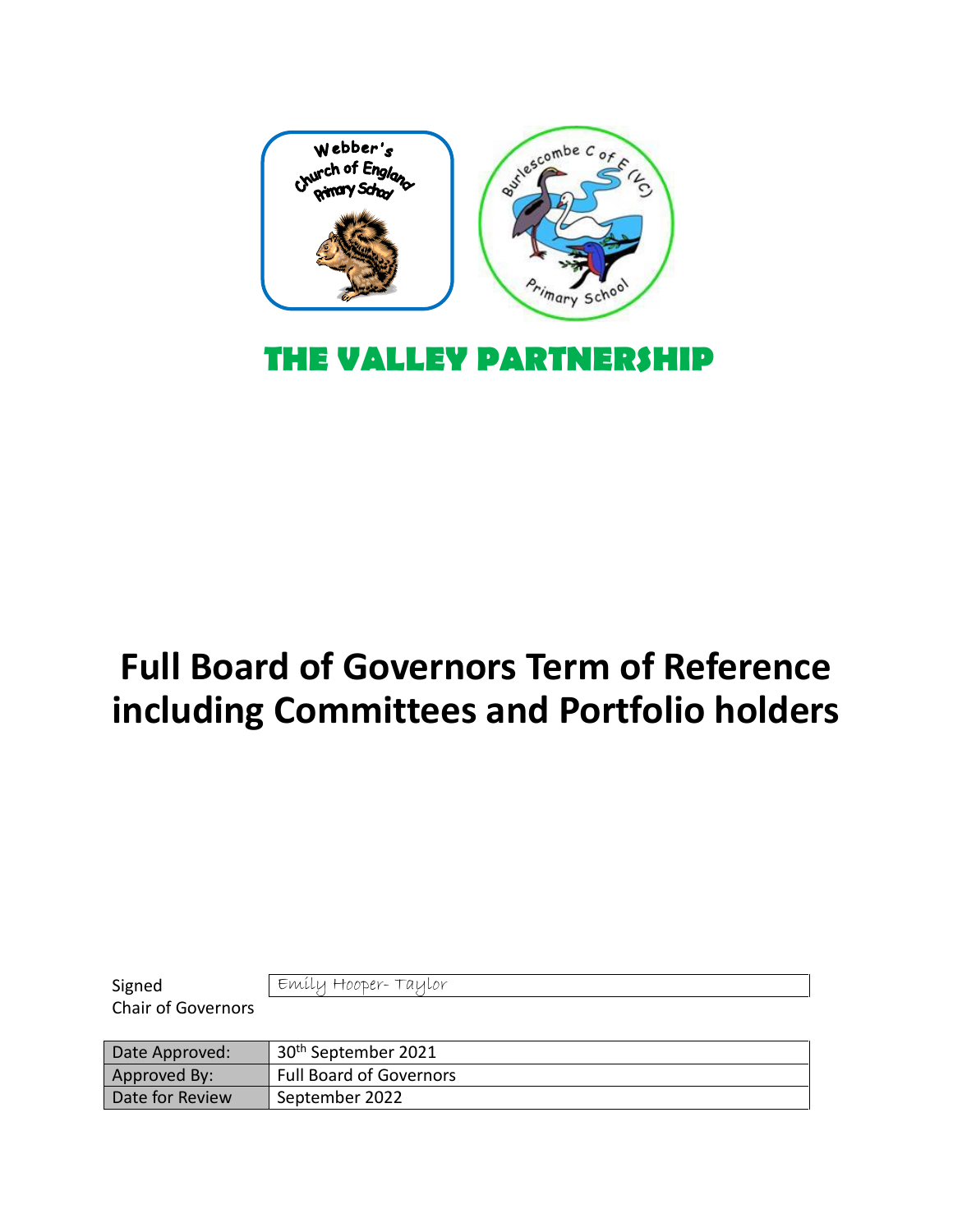

# **Full Board of Governors Term of Reference including Committees and Portfolio holders**

| Signed                    | Emily Hooper-Taylor             |
|---------------------------|---------------------------------|
| <b>Chair of Governors</b> |                                 |
|                           |                                 |
|                           |                                 |
| Date Approved:            | 30 <sup>th</sup> September 2021 |
| Approved By:              | <b>Full Board of Governors</b>  |

٦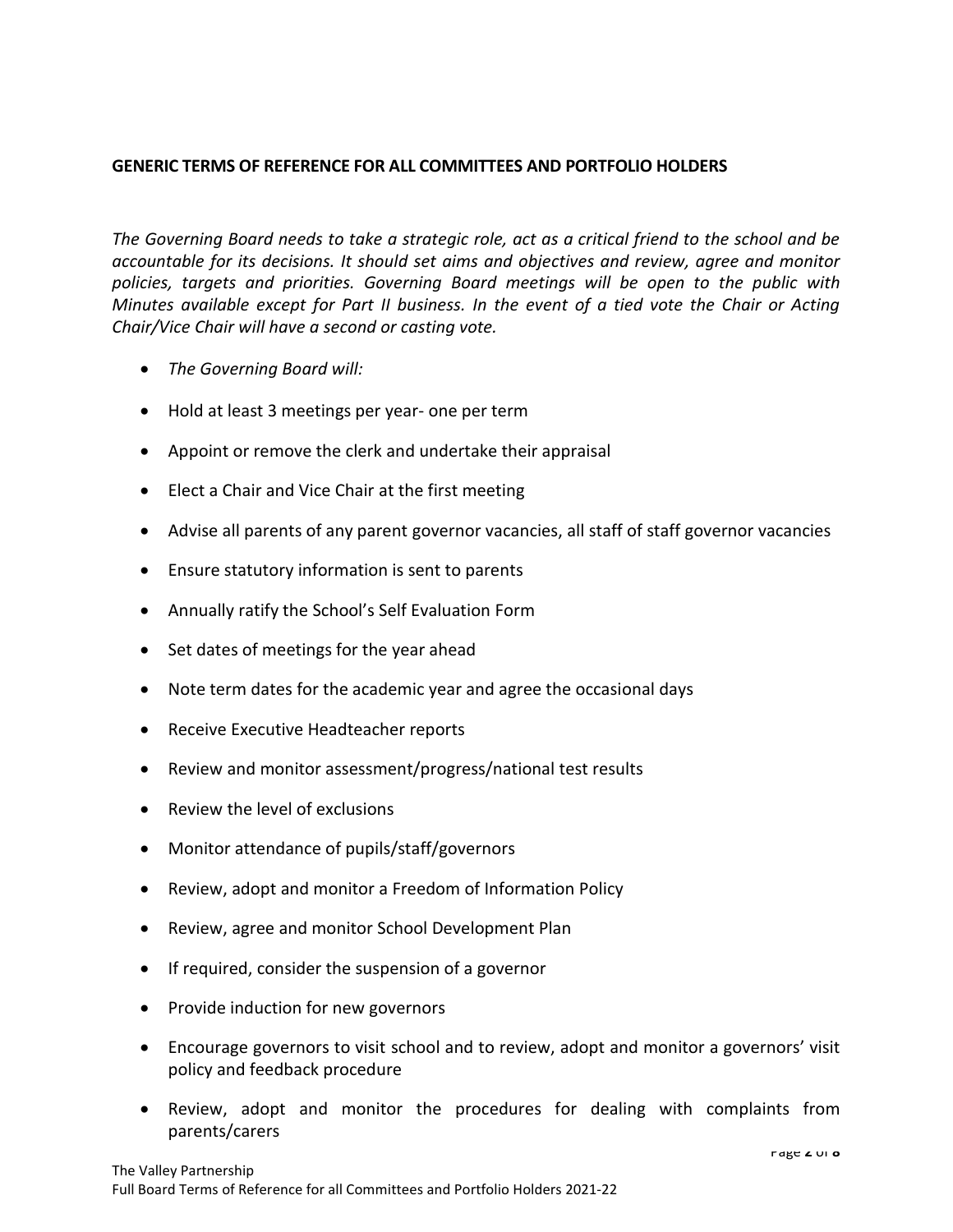### **GENERIC TERMS OF REFERENCE FOR ALL COMMITTEES AND PORTFOLIO HOLDERS**

*The Governing Board needs to take a strategic role, act as a critical friend to the school and be accountable for its decisions. It should set aims and objectives and review, agree and monitor policies, targets and priorities. Governing Board meetings will be open to the public with Minutes available except for Part II business. In the event of a tied vote the Chair or Acting Chair/Vice Chair will have a second or casting vote.* 

- *The Governing Board will:*
- Hold at least 3 meetings per year- one per term
- Appoint or remove the clerk and undertake their appraisal
- Elect a Chair and Vice Chair at the first meeting
- Advise all parents of any parent governor vacancies, all staff of staff governor vacancies
- Ensure statutory information is sent to parents
- Annually ratify the School's Self Evaluation Form
- Set dates of meetings for the year ahead
- Note term dates for the academic year and agree the occasional days
- Receive Executive Headteacher reports
- Review and monitor assessment/progress/national test results
- Review the level of exclusions
- Monitor attendance of pupils/staff/governors
- Review, adopt and monitor a Freedom of Information Policy
- Review, agree and monitor School Development Plan
- If required, consider the suspension of a governor
- Provide induction for new governors
- Encourage governors to visit school and to review, adopt and monitor a governors' visit policy and feedback procedure
- Review, adopt and monitor the procedures for dealing with complaints from parents/carers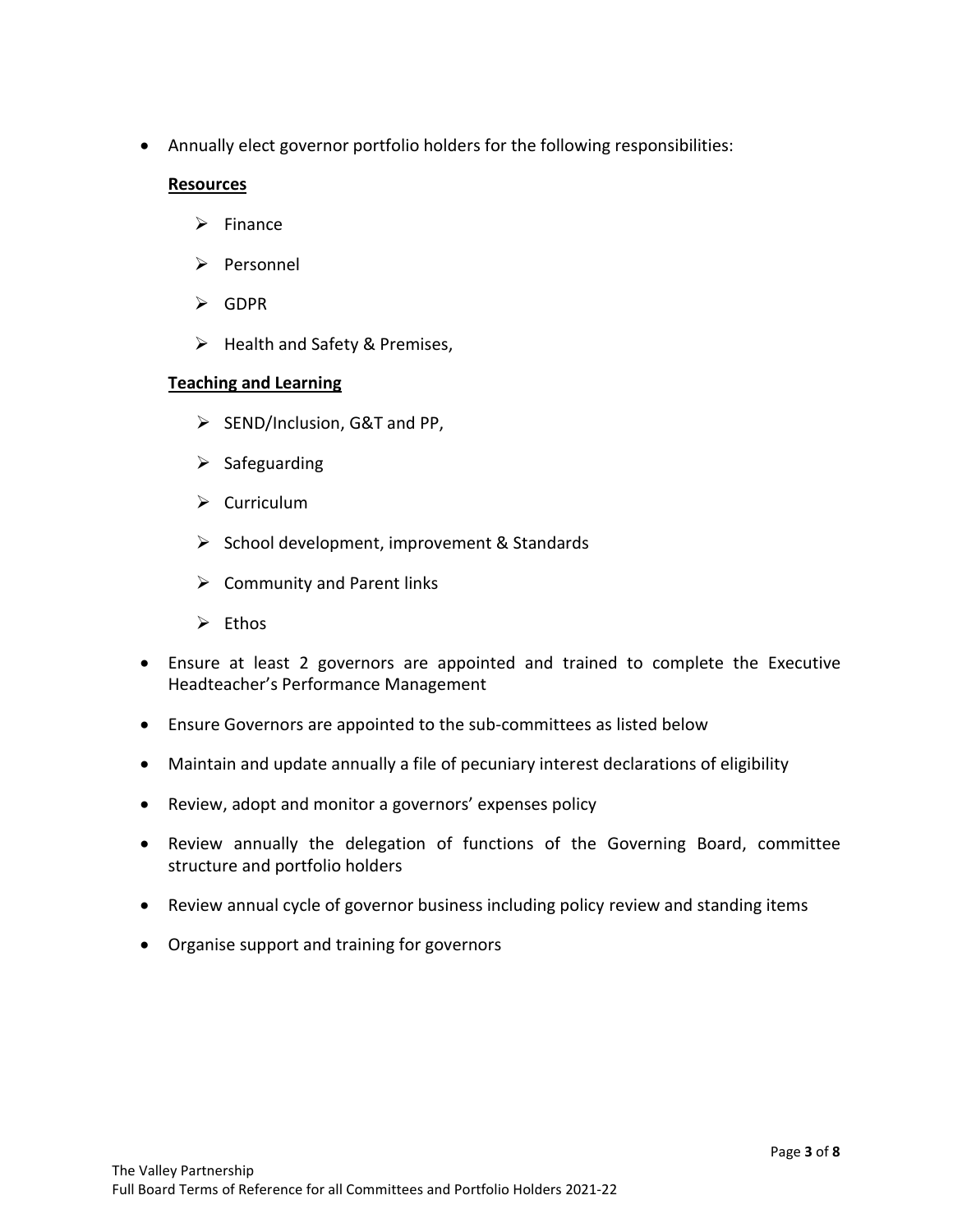• Annually elect governor portfolio holders for the following responsibilities:

#### **Resources**

- ➢ Finance
- ➢ Personnel
- ➢ GDPR
- ➢ Health and Safety & Premises,

### **Teaching and Learning**

- ➢ SEND/Inclusion, G&T and PP,
- $\triangleright$  Safeguarding
- ➢ Curriculum
- ➢ School development, improvement & Standards
- $\triangleright$  Community and Parent links
- ➢ Ethos
- Ensure at least 2 governors are appointed and trained to complete the Executive Headteacher's Performance Management
- Ensure Governors are appointed to the sub-committees as listed below
- Maintain and update annually a file of pecuniary interest declarations of eligibility
- Review, adopt and monitor a governors' expenses policy
- Review annually the delegation of functions of the Governing Board, committee structure and portfolio holders
- Review annual cycle of governor business including policy review and standing items
- Organise support and training for governors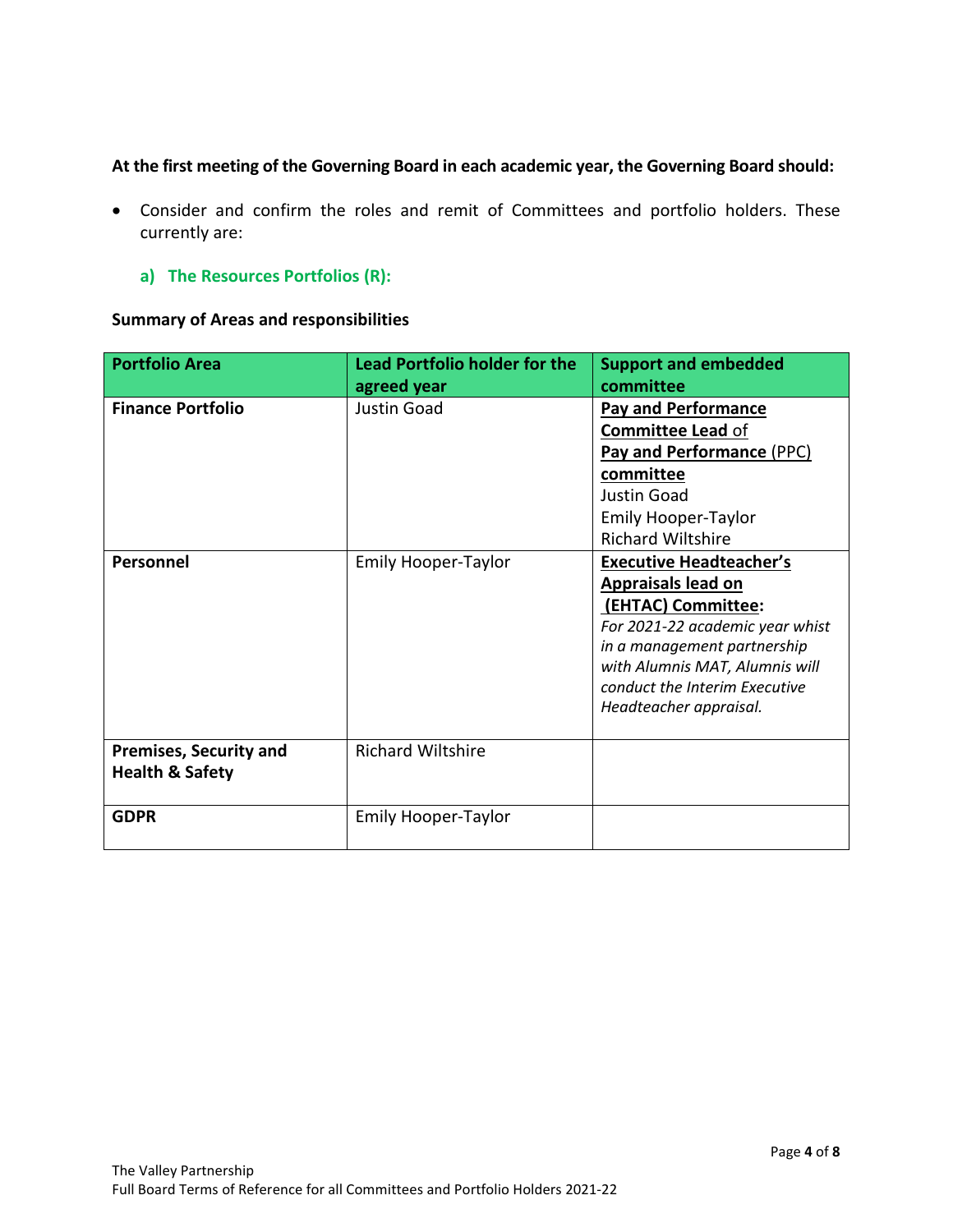# **At the first meeting of the Governing Board in each academic year, the Governing Board should:**

- Consider and confirm the roles and remit of Committees and portfolio holders. These currently are:
	- **a) The Resources Portfolios (R):**

# **Summary of Areas and responsibilities**

| <b>Portfolio Area</b>                                       | <b>Lead Portfolio holder for the</b><br>agreed year | <b>Support and embedded</b><br>committee                                                                                                                                                                                                                                                                                                                                                                                             |
|-------------------------------------------------------------|-----------------------------------------------------|--------------------------------------------------------------------------------------------------------------------------------------------------------------------------------------------------------------------------------------------------------------------------------------------------------------------------------------------------------------------------------------------------------------------------------------|
| <b>Finance Portfolio</b><br>Personnel                       | Justin Goad<br><b>Emily Hooper-Taylor</b>           | <b>Pay and Performance</b><br><b>Committee Lead of</b><br>Pay and Performance (PPC)<br>committee<br><b>Justin Goad</b><br><b>Emily Hooper-Taylor</b><br><b>Richard Wiltshire</b><br><b>Executive Headteacher's</b><br><b>Appraisals lead on</b><br>(EHTAC) Committee:<br>For 2021-22 academic year whist<br>in a management partnership<br>with Alumnis MAT, Alumnis will<br>conduct the Interim Executive<br>Headteacher appraisal. |
| <b>Premises, Security and</b><br><b>Health &amp; Safety</b> | <b>Richard Wiltshire</b>                            |                                                                                                                                                                                                                                                                                                                                                                                                                                      |
| <b>GDPR</b>                                                 | <b>Emily Hooper-Taylor</b>                          |                                                                                                                                                                                                                                                                                                                                                                                                                                      |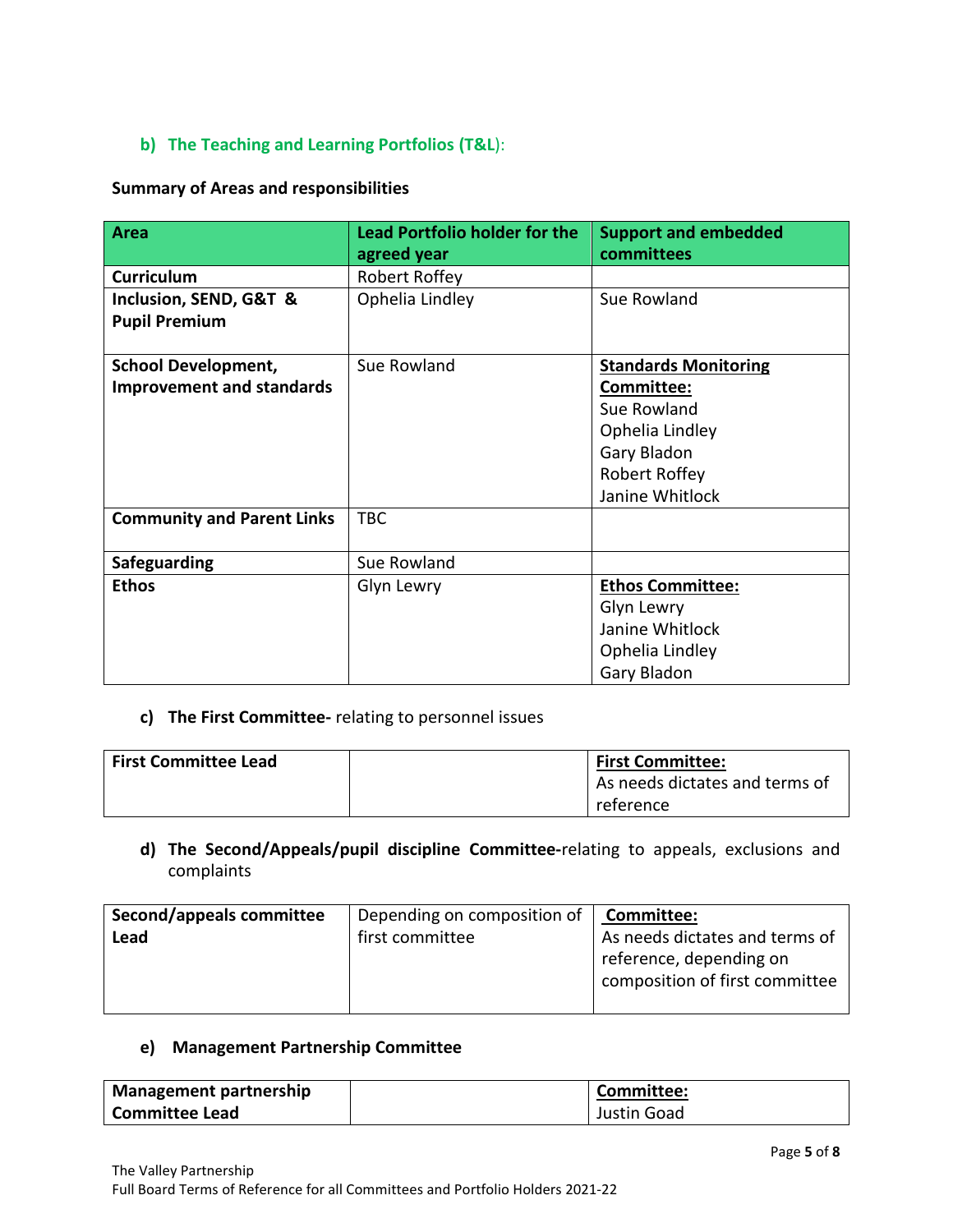# **b) The Teaching and Learning Portfolios (T&L**):

#### **Summary of Areas and responsibilities**

| <b>Area</b>                                    | <b>Lead Portfolio holder for the</b><br>agreed year | <b>Support and embedded</b><br>committees |
|------------------------------------------------|-----------------------------------------------------|-------------------------------------------|
| <b>Curriculum</b>                              | Robert Roffey                                       |                                           |
| Inclusion, SEND, G&T &<br><b>Pupil Premium</b> | Ophelia Lindley                                     | Sue Rowland                               |
| <b>School Development,</b>                     | Sue Rowland                                         | <b>Standards Monitoring</b>               |
| <b>Improvement and standards</b>               |                                                     | Committee:                                |
|                                                |                                                     | Sue Rowland                               |
|                                                |                                                     | Ophelia Lindley                           |
|                                                |                                                     | Gary Bladon                               |
|                                                |                                                     | Robert Roffey                             |
|                                                |                                                     | Janine Whitlock                           |
| <b>Community and Parent Links</b>              | <b>TBC</b>                                          |                                           |
| Safeguarding                                   | Sue Rowland                                         |                                           |
| <b>Ethos</b>                                   | Glyn Lewry                                          | <b>Ethos Committee:</b>                   |
|                                                |                                                     | Glyn Lewry                                |
|                                                |                                                     | Janine Whitlock                           |
|                                                |                                                     | Ophelia Lindley                           |
|                                                |                                                     | Gary Bladon                               |

### **c) The First Committee-** relating to personnel issues

| <b>First Committee Lead</b> | <b>First Committee:</b>        |
|-----------------------------|--------------------------------|
|                             | As needs dictates and terms of |
|                             | reference                      |

**d) The Second/Appeals/pupil discipline Committee-**relating to appeals, exclusions and complaints

| Second/appeals committee | Depending on composition of | Committee:                     |
|--------------------------|-----------------------------|--------------------------------|
| Lead                     | first committee             | As needs dictates and terms of |
|                          |                             | reference, depending on        |
|                          |                             | composition of first committee |
|                          |                             |                                |

#### **e) Management Partnership Committee**

| Management partnership | Committee:  |
|------------------------|-------------|
| Committee Lead         | Justin Goad |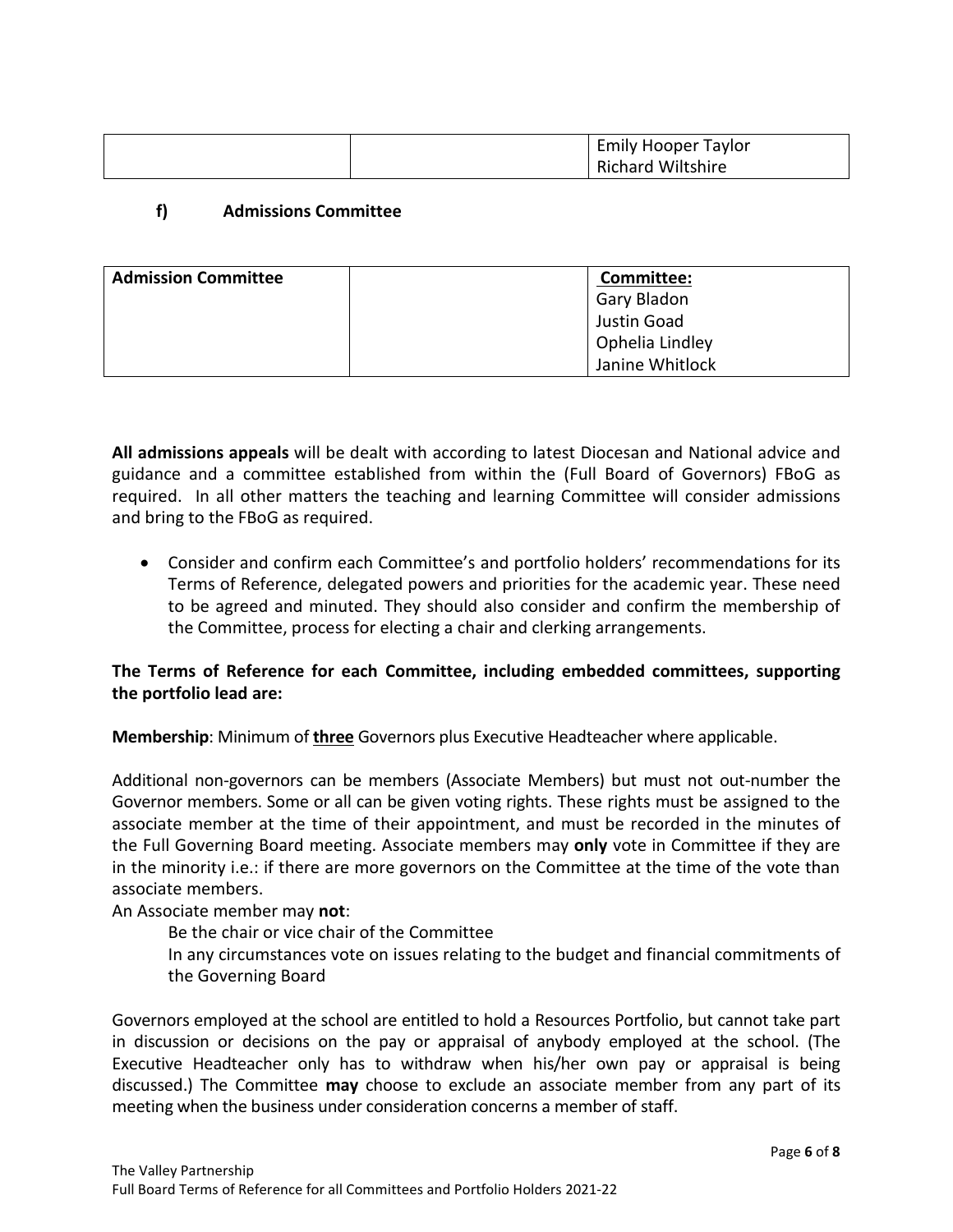|  | <b>Emily Hooper Taylor</b> |
|--|----------------------------|
|  | <b>Richard Wiltshire</b>   |

# **f) Admissions Committee**

| <b>Admission Committee</b> | Committee:      |
|----------------------------|-----------------|
|                            | Gary Bladon     |
|                            | Justin Goad     |
|                            | Ophelia Lindley |
|                            | Janine Whitlock |

**All admissions appeals** will be dealt with according to latest Diocesan and National advice and guidance and a committee established from within the (Full Board of Governors) FBoG as required. In all other matters the teaching and learning Committee will consider admissions and bring to the FBoG as required.

• Consider and confirm each Committee's and portfolio holders' recommendations for its Terms of Reference, delegated powers and priorities for the academic year. These need to be agreed and minuted. They should also consider and confirm the membership of the Committee, process for electing a chair and clerking arrangements.

# **The Terms of Reference for each Committee, including embedded committees, supporting the portfolio lead are:**

**Membership**: Minimum of **three** Governors plus Executive Headteacher where applicable.

Additional non-governors can be members (Associate Members) but must not out-number the Governor members. Some or all can be given voting rights. These rights must be assigned to the associate member at the time of their appointment, and must be recorded in the minutes of the Full Governing Board meeting. Associate members may **only** vote in Committee if they are in the minority i.e.: if there are more governors on the Committee at the time of the vote than associate members.

An Associate member may **not**:

Be the chair or vice chair of the Committee In any circumstances vote on issues relating to the budget and financial commitments of the Governing Board

Governors employed at the school are entitled to hold a Resources Portfolio, but cannot take part in discussion or decisions on the pay or appraisal of anybody employed at the school. (The Executive Headteacher only has to withdraw when his/her own pay or appraisal is being discussed.) The Committee **may** choose to exclude an associate member from any part of its meeting when the business under consideration concerns a member of staff.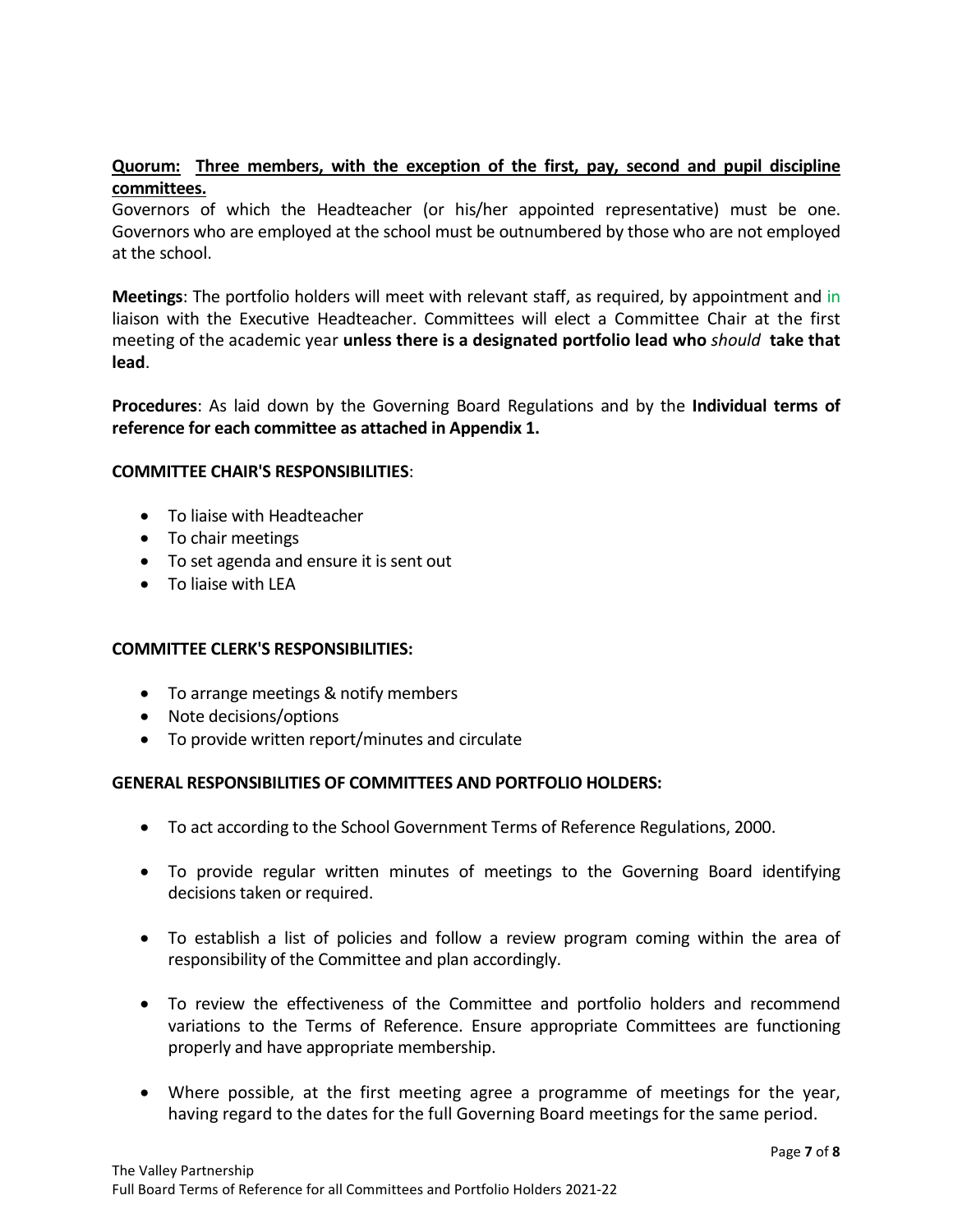# **Quorum: Three members, with the exception of the first, pay, second and pupil discipline committees.**

Governors of which the Headteacher (or his/her appointed representative) must be one. Governors who are employed at the school must be outnumbered by those who are not employed at the school.

**Meetings**: The portfolio holders will meet with relevant staff, as required, by appointment and in liaison with the Executive Headteacher. Committees will elect a Committee Chair at the first meeting of the academic year **unless there is a designated portfolio lead who** *should* **take that lead**.

**Procedures**: As laid down by the Governing Board Regulations and by the **Individual terms of reference for each committee as attached in Appendix 1.**

#### **COMMITTEE CHAIR'S RESPONSIBILITIES**:

- To liaise with Headteacher
- To chair meetings
- To set agenda and ensure it is sent out
- To liaise with LEA

#### **COMMITTEE CLERK'S RESPONSIBILITIES:**

- To arrange meetings & notify members
- Note decisions/options
- To provide written report/minutes and circulate

#### **GENERAL RESPONSIBILITIES OF COMMITTEES AND PORTFOLIO HOLDERS:**

- To act according to the School Government Terms of Reference Regulations, 2000.
- To provide regular written minutes of meetings to the Governing Board identifying decisions taken or required.
- To establish a list of policies and follow a review program coming within the area of responsibility of the Committee and plan accordingly.
- To review the effectiveness of the Committee and portfolio holders and recommend variations to the Terms of Reference. Ensure appropriate Committees are functioning properly and have appropriate membership.
- Where possible, at the first meeting agree a programme of meetings for the year, having regard to the dates for the full Governing Board meetings for the same period.